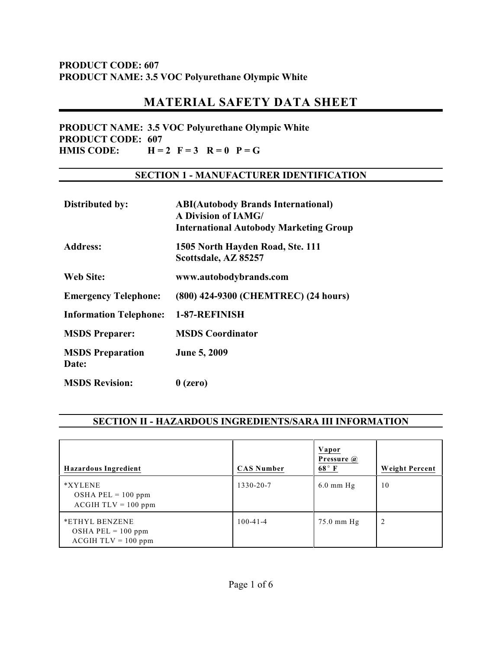# **MATERIAL SAFETY DATA SHEET**

**PRODUCT NAME: 3.5 VOC Polyurethane Olympic White PRODUCT CODE: 607 HMIS CODE:**  $H = 2$   $F = 3$   $R = 0$   $P = G$ 

#### **SECTION 1 - MANUFACTURER IDENTIFICATION**

| Distributed by:                  | <b>ABI(Autobody Brands International)</b><br><b>A Division of IAMG/</b><br><b>International Autobody Marketing Group</b> |
|----------------------------------|--------------------------------------------------------------------------------------------------------------------------|
| Address:                         | 1505 North Hayden Road, Ste. 111<br>Scottsdale, AZ 85257                                                                 |
| Web Site:                        | www.autobodybrands.com                                                                                                   |
| <b>Emergency Telephone:</b>      | (800) 424-9300 (CHEMTREC) (24 hours)                                                                                     |
| <b>Information Telephone:</b>    | 1-87-REFINISH                                                                                                            |
| <b>MSDS</b> Preparer:            | <b>MSDS Coordinator</b>                                                                                                  |
| <b>MSDS</b> Preparation<br>Date: | <b>June 5, 2009</b>                                                                                                      |
| <b>MSDS Revision:</b>            | $0$ (zero)                                                                                                               |

## **SECTION II - HAZARDOUS INGREDIENTS/SARA III INFORMATION**

| Hazardous Ingredient                                            | <b>CAS Number</b> | Vapor<br>Pressure @<br>$68^\circ$ F | <b>Weight Percent</b> |
|-----------------------------------------------------------------|-------------------|-------------------------------------|-----------------------|
| *XYLENE<br>OSHA PEL = $100$ ppm<br>$ACGIH TLV = 100 ppm$        | 1330-20-7         | $6.0$ mm Hg                         | 10                    |
| *ETHYL BENZENE<br>$OSHA$ PEL = 100 ppm<br>$ACGIH TLV = 100 ppm$ | $100 - 41 - 4$    | $75.0$ mm Hg                        | 2                     |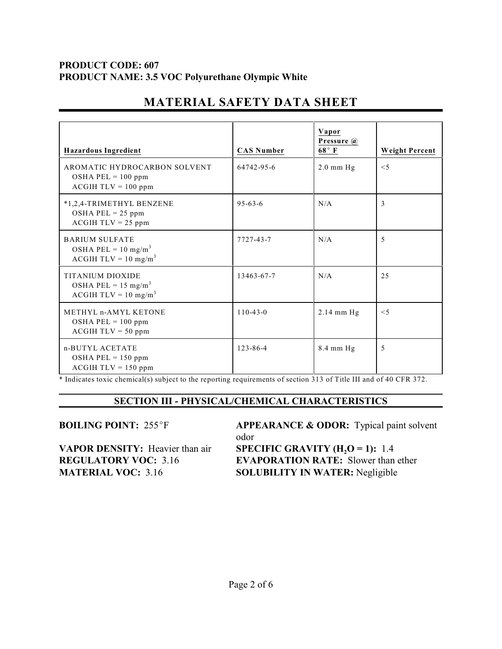| <b>Hazardous Ingredient</b>                                                         | <b>CAS Number</b> | Vapor<br>Pressure @<br>$68^{\circ}$ F | <b>Weight Percent</b> |
|-------------------------------------------------------------------------------------|-------------------|---------------------------------------|-----------------------|
| AROMATIC HYDROCARBON SOLVENT<br>OSHA PEL = $100$ ppm<br>$ACGIH TLV = 100 ppm$       | 64742-95-6        | $2.0$ mm $Hg$                         | $<$ 5                 |
| *1,2,4-TRIMETHYL BENZENE<br>OSHA PEL = $25$ ppm<br>$ACGIH TLV = 25$ ppm             | $95 - 63 - 6$     | N/A                                   | 3                     |
| <b>BARIUM SULFATE</b><br>OSHA PEL = $10 \text{ mg/m}^3$<br>$ACGIH TLV = 10 mg/m3$   | 7727-43-7         | N/A                                   | 5                     |
| <b>TITANIUM DIOXIDE</b><br>OSHA PEL = $15 \text{ mg/m}^3$<br>$ACGIH TLV = 10 mg/m3$ | 13463-67-7        | N/A                                   | 25                    |
| METHYL n-AMYL KETONE<br>OSHA PEL = $100$ ppm<br>$ACGIH TLV = 50 ppm$                | $110 - 43 - 0$    | $2.14$ mm Hg                          | $<$ 5                 |
| n-BUTYL ACETATE<br>OSHA PEL = $150$ ppm<br>$ACGIH TLV = 150 ppm$                    | 123-86-4          | 8.4 mm Hg                             | 5                     |

# **MATERIAL SAFETY DATA SHEET**

\* Indicates toxic chemical(s) subject to the reporting requirements of section 313 of Title III and of 40 CFR 372.

#### **SECTION III - PHYSICAL/CHEMICAL CHARACTERISTICS**

**VAPOR DENSITY:** Heavier than air<br>**REGULATORY VOC:** 3.16

**BOILING POINT:** 255°F **APPEARANCE & ODOR:** Typical paint solvent odor **SPECIFIC GRAVITY (** $H_2O = 1$ **):** 1.4 **EVAPORATION RATE:** Slower than ether **MATERIAL VOC:** 3.16 **SOLUBILITY IN WATER:** Negligible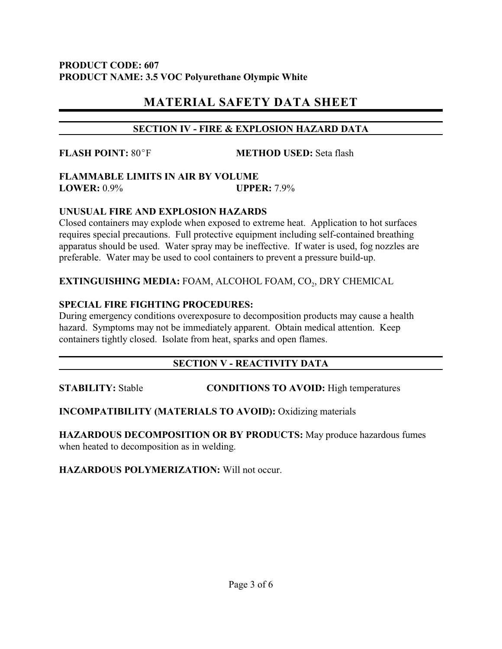# **MATERIAL SAFETY DATA SHEET**

## **SECTION IV - FIRE & EXPLOSION HAZARD DATA**

**FLASH POINT:** 80°F **METHOD USED:** Seta flash

#### **FLAMMABLE LIMITS IN AIR BY VOLUME LOWER:** 0.9% **UPPER:** 7.9%

## **UNUSUAL FIRE AND EXPLOSION HAZARDS**

Closed containers may explode when exposed to extreme heat. Application to hot surfaces requires special precautions. Full protective equipment including self-contained breathing apparatus should be used. Water spray may be ineffective. If water is used, fog nozzles are preferable. Water may be used to cool containers to prevent a pressure build-up.

**EXTINGUISHING MEDIA:** FOAM, ALCOHOL FOAM, CO<sub>2</sub>, DRY CHEMICAL

## **SPECIAL FIRE FIGHTING PROCEDURES:**

During emergency conditions overexposure to decomposition products may cause a health hazard. Symptoms may not be immediately apparent. Obtain medical attention. Keep containers tightly closed. Isolate from heat, sparks and open flames.

# **SECTION V - REACTIVITY DATA**

**STABILITY:** Stable **CONDITIONS TO AVOID:** High temperatures

# **INCOMPATIBILITY (MATERIALS TO AVOID):** Oxidizing materials

**HAZARDOUS DECOMPOSITION OR BY PRODUCTS:** May produce hazardous fumes when heated to decomposition as in welding.

**HAZARDOUS POLYMERIZATION:** Will not occur.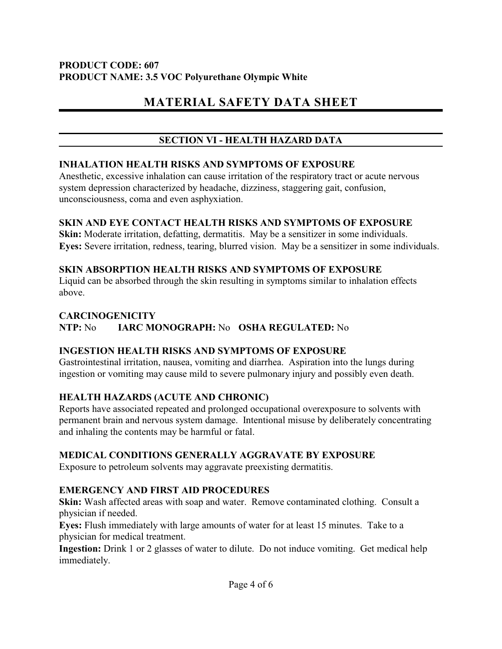# **MATERIAL SAFETY DATA SHEET**

## **SECTION VI - HEALTH HAZARD DATA**

#### **INHALATION HEALTH RISKS AND SYMPTOMS OF EXPOSURE**

Anesthetic, excessive inhalation can cause irritation of the respiratory tract or acute nervous system depression characterized by headache, dizziness, staggering gait, confusion, unconsciousness, coma and even asphyxiation.

#### **SKIN AND EYE CONTACT HEALTH RISKS AND SYMPTOMS OF EXPOSURE**

**Skin:** Moderate irritation, defatting, dermatitis. May be a sensitizer in some individuals. **Eyes:** Severe irritation, redness, tearing, blurred vision. May be a sensitizer in some individuals.

## **SKIN ABSORPTION HEALTH RISKS AND SYMPTOMS OF EXPOSURE**

Liquid can be absorbed through the skin resulting in symptoms similar to inhalation effects above.

#### **CARCINOGENICITY**

**NTP:** No **IARC MONOGRAPH:** No **OSHA REGULATED:** No

## **INGESTION HEALTH RISKS AND SYMPTOMS OF EXPOSURE**

Gastrointestinal irritation, nausea, vomiting and diarrhea. Aspiration into the lungs during ingestion or vomiting may cause mild to severe pulmonary injury and possibly even death.

## **HEALTH HAZARDS (ACUTE AND CHRONIC)**

Reports have associated repeated and prolonged occupational overexposure to solvents with permanent brain and nervous system damage. Intentional misuse by deliberately concentrating and inhaling the contents may be harmful or fatal.

## **MEDICAL CONDITIONS GENERALLY AGGRAVATE BY EXPOSURE**

Exposure to petroleum solvents may aggravate preexisting dermatitis.

## **EMERGENCY AND FIRST AID PROCEDURES**

**Skin:** Wash affected areas with soap and water. Remove contaminated clothing. Consult a physician if needed.

**Eyes:** Flush immediately with large amounts of water for at least 15 minutes. Take to a physician for medical treatment.

**Ingestion:** Drink 1 or 2 glasses of water to dilute. Do not induce vomiting. Get medical help immediately.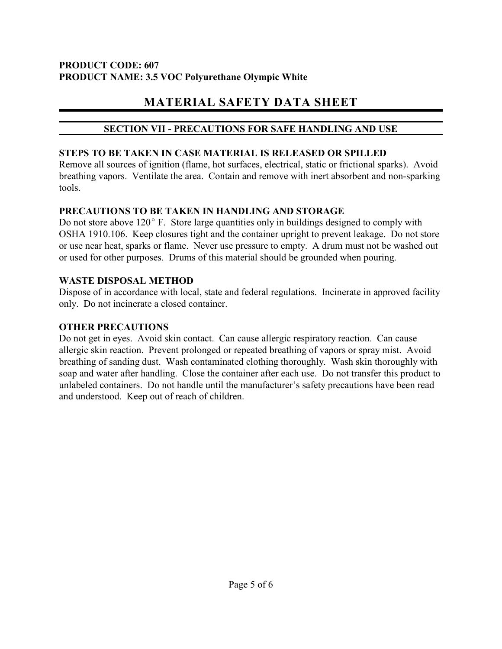# **MATERIAL SAFETY DATA SHEET**

## **SECTION VII - PRECAUTIONS FOR SAFE HANDLING AND USE**

## **STEPS TO BE TAKEN IN CASE MATERIAL IS RELEASED OR SPILLED**

Remove all sources of ignition (flame, hot surfaces, electrical, static or frictional sparks). Avoid breathing vapors. Ventilate the area. Contain and remove with inert absorbent and non-sparking tools.

## **PRECAUTIONS TO BE TAKEN IN HANDLING AND STORAGE**

Do not store above  $120^{\circ}$  F. Store large quantities only in buildings designed to comply with OSHA 1910.106. Keep closures tight and the container upright to prevent leakage. Do not store or use near heat, sparks or flame. Never use pressure to empty. A drum must not be washed out or used for other purposes. Drums of this material should be grounded when pouring.

## **WASTE DISPOSAL METHOD**

Dispose of in accordance with local, state and federal regulations. Incinerate in approved facility only. Do not incinerate a closed container.

# **OTHER PRECAUTIONS**

Do not get in eyes. Avoid skin contact. Can cause allergic respiratory reaction. Can cause allergic skin reaction. Prevent prolonged or repeated breathing of vapors or spray mist. Avoid breathing of sanding dust. Wash contaminated clothing thoroughly. Wash skin thoroughly with soap and water after handling. Close the container after each use. Do not transfer this product to unlabeled containers. Do not handle until the manufacturer's safety precautions have been read and understood. Keep out of reach of children.